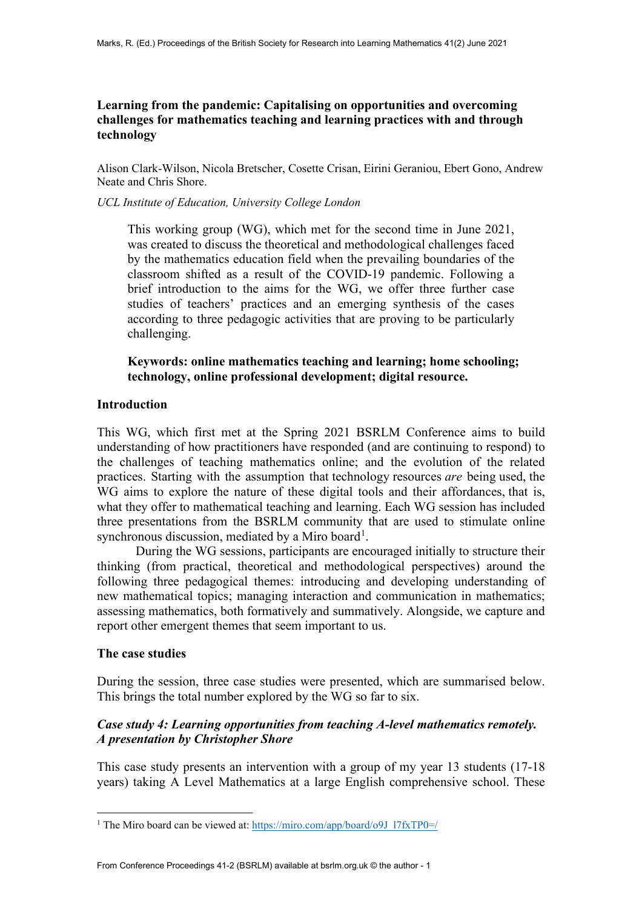## **Learning from the pandemic: Capitalising on opportunities and overcoming challenges for mathematics teaching and learning practices with and through technology**

Alison Clark-Wilson, Nicola Bretscher, Cosette Crisan, Eirini Geraniou, Ebert Gono, Andrew Neate and Chris Shore.

*UCL Institute of Education, University College London*

This working group (WG), which met for the second time in June 2021, was created to discuss the theoretical and methodological challenges faced by the mathematics education field when the prevailing boundaries of the classroom shifted as a result of the COVID-19 pandemic. Following a brief introduction to the aims for the WG, we offer three further case studies of teachers' practices and an emerging synthesis of the cases according to three pedagogic activities that are proving to be particularly challenging.

**Keywords: online mathematics teaching and learning; home schooling; technology, online professional development; digital resource.**

#### **Introduction**

This WG, which first met at the Spring 2021 BSRLM Conference aims to build understanding of how practitioners have responded (and are continuing to respond) to the challenges of teaching mathematics online; and the evolution of the related practices. Starting with the assumption that technology resources *are* being used, the WG aims to explore the nature of these digital tools and their affordances, that is, what they offer to mathematical teaching and learning. Each WG session has included three presentations from the BSRLM community that are used to stimulate online synchronous discussion, mediated by a Miro board<sup>[1](#page-0-0)</sup>.

During the WG sessions, participants are encouraged initially to structure their thinking (from practical, theoretical and methodological perspectives) around the following three pedagogical themes: introducing and developing understanding of new mathematical topics; managing interaction and communication in mathematics; assessing mathematics, both formatively and summatively. Alongside, we capture and report other emergent themes that seem important to us.

#### **The case studies**

During the session, three case studies were presented, which are summarised below. This brings the total number explored by the WG so far to six.

### *Case study 4: Learning opportunities from teaching A-level mathematics remotely. A presentation by Christopher Shore*

This case study presents an intervention with a group of my year 13 students (17-18 years) taking A Level Mathematics at a large English comprehensive school. These

<span id="page-0-0"></span><sup>&</sup>lt;sup>1</sup> The Miro board can be viewed at[: https://miro.com/app/board/o9J\\_l7fxTP0=/](https://miro.com/app/board/o9J_l7fxTP0=/)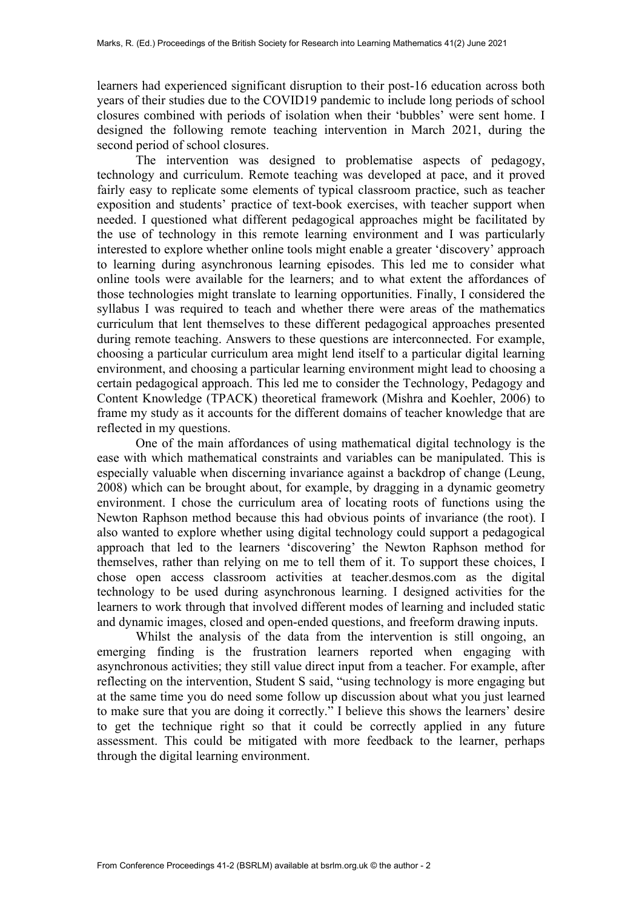learners had experienced significant disruption to their post-16 education across both years of their studies due to the COVID19 pandemic to include long periods of school closures combined with periods of isolation when their 'bubbles' were sent home. I designed the following remote teaching intervention in March 2021, during the second period of school closures.

The intervention was designed to problematise aspects of pedagogy, technology and curriculum. Remote teaching was developed at pace, and it proved fairly easy to replicate some elements of typical classroom practice, such as teacher exposition and students' practice of text-book exercises, with teacher support when needed. I questioned what different pedagogical approaches might be facilitated by the use of technology in this remote learning environment and I was particularly interested to explore whether online tools might enable a greater 'discovery' approach to learning during asynchronous learning episodes. This led me to consider what online tools were available for the learners; and to what extent the affordances of those technologies might translate to learning opportunities. Finally, I considered the syllabus I was required to teach and whether there were areas of the mathematics curriculum that lent themselves to these different pedagogical approaches presented during remote teaching. Answers to these questions are interconnected. For example, choosing a particular curriculum area might lend itself to a particular digital learning environment, and choosing a particular learning environment might lead to choosing a certain pedagogical approach. This led me to consider the Technology, Pedagogy and Content Knowledge (TPACK) theoretical framework (Mishra and Koehler, 2006) to frame my study as it accounts for the different domains of teacher knowledge that are reflected in my questions.

One of the main affordances of using mathematical digital technology is the ease with which mathematical constraints and variables can be manipulated. This is especially valuable when discerning invariance against a backdrop of change (Leung, 2008) which can be brought about, for example, by dragging in a dynamic geometry environment. I chose the curriculum area of locating roots of functions using the Newton Raphson method because this had obvious points of invariance (the root). I also wanted to explore whether using digital technology could support a pedagogical approach that led to the learners 'discovering' the Newton Raphson method for themselves, rather than relying on me to tell them of it. To support these choices, I chose open access classroom activities at teacher.desmos.com as the digital technology to be used during asynchronous learning. I designed activities for the learners to work through that involved different modes of learning and included static and dynamic images, closed and open-ended questions, and freeform drawing inputs.

Whilst the analysis of the data from the intervention is still ongoing, an emerging finding is the frustration learners reported when engaging with asynchronous activities; they still value direct input from a teacher. For example, after reflecting on the intervention, Student S said, "using technology is more engaging but at the same time you do need some follow up discussion about what you just learned to make sure that you are doing it correctly." I believe this shows the learners' desire to get the technique right so that it could be correctly applied in any future assessment. This could be mitigated with more feedback to the learner, perhaps through the digital learning environment.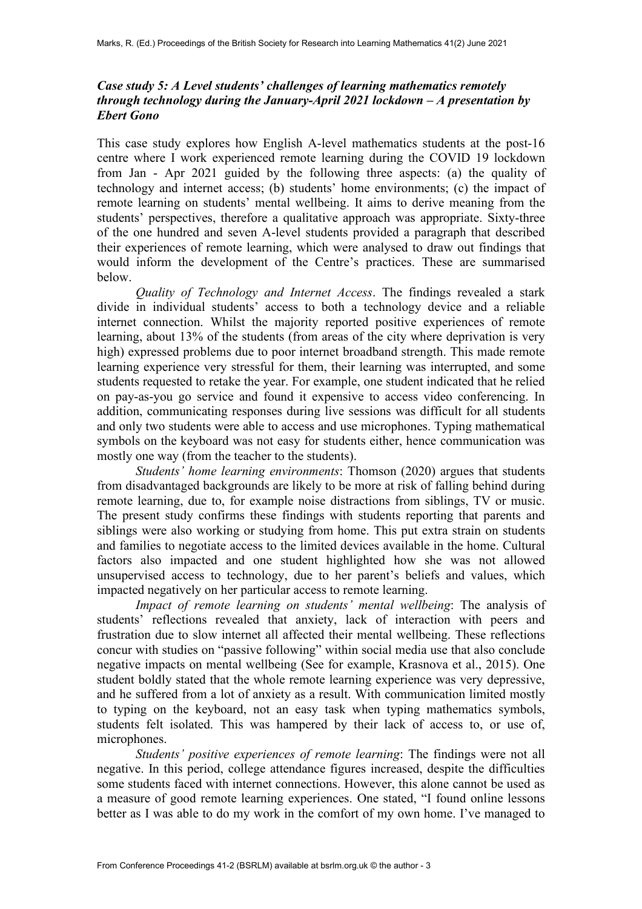## *Case study 5: A Level students' challenges of learning mathematics remotely through technology during the January-April 2021 lockdown – A presentation by Ebert Gono*

This case study explores how English A-level mathematics students at the post-16 centre where I work experienced remote learning during the COVID 19 lockdown from Jan - Apr 2021 guided by the following three aspects: (a) the quality of technology and internet access; (b) students' home environments; (c) the impact of remote learning on students' mental wellbeing. It aims to derive meaning from the students' perspectives, therefore a qualitative approach was appropriate. Sixty-three of the one hundred and seven A-level students provided a paragraph that described their experiences of remote learning, which were analysed to draw out findings that would inform the development of the Centre's practices. These are summarised below.

*Quality of Technology and Internet Access*. The findings revealed a stark divide in individual students' access to both a technology device and a reliable internet connection. Whilst the majority reported positive experiences of remote learning, about 13% of the students (from areas of the city where deprivation is very high) expressed problems due to poor internet broadband strength. This made remote learning experience very stressful for them, their learning was interrupted, and some students requested to retake the year. For example, one student indicated that he relied on pay-as-you go service and found it expensive to access video conferencing. In addition, communicating responses during live sessions was difficult for all students and only two students were able to access and use microphones. Typing mathematical symbols on the keyboard was not easy for students either, hence communication was mostly one way (from the teacher to the students).

*Students' home learning environments*: Thomson (2020) argues that students from disadvantaged backgrounds are likely to be more at risk of falling behind during remote learning, due to, for example noise distractions from siblings, TV or music. The present study confirms these findings with students reporting that parents and siblings were also working or studying from home. This put extra strain on students and families to negotiate access to the limited devices available in the home. Cultural factors also impacted and one student highlighted how she was not allowed unsupervised access to technology, due to her parent's beliefs and values, which impacted negatively on her particular access to remote learning.

*Impact of remote learning on students' mental wellbeing*: The analysis of students' reflections revealed that anxiety, lack of interaction with peers and frustration due to slow internet all affected their mental wellbeing. These reflections concur with studies on "passive following" within social media use that also conclude negative impacts on mental wellbeing (See for example, Krasnova et al., 2015). One student boldly stated that the whole remote learning experience was very depressive, and he suffered from a lot of anxiety as a result. With communication limited mostly to typing on the keyboard, not an easy task when typing mathematics symbols, students felt isolated. This was hampered by their lack of access to, or use of, microphones.

*Students' positive experiences of remote learning*: The findings were not all negative. In this period, college attendance figures increased, despite the difficulties some students faced with internet connections. However, this alone cannot be used as a measure of good remote learning experiences. One stated, "I found online lessons better as I was able to do my work in the comfort of my own home. I've managed to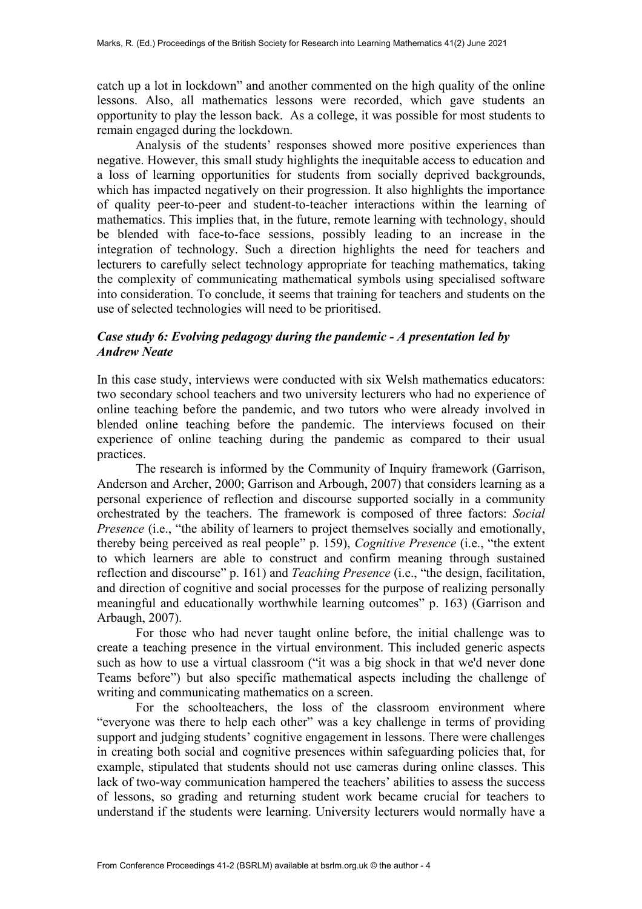catch up a lot in lockdown" and another commented on the high quality of the online lessons. Also, all mathematics lessons were recorded, which gave students an opportunity to play the lesson back. As a college, it was possible for most students to remain engaged during the lockdown.

Analysis of the students' responses showed more positive experiences than negative. However, this small study highlights the inequitable access to education and a loss of learning opportunities for students from socially deprived backgrounds, which has impacted negatively on their progression. It also highlights the importance of quality peer-to-peer and student-to-teacher interactions within the learning of mathematics. This implies that, in the future, remote learning with technology, should be blended with face-to-face sessions, possibly leading to an increase in the integration of technology. Such a direction highlights the need for teachers and lecturers to carefully select technology appropriate for teaching mathematics, taking the complexity of communicating mathematical symbols using specialised software into consideration. To conclude, it seems that training for teachers and students on the use of selected technologies will need to be prioritised.

# *Case study 6: Evolving pedagogy during the pandemic - A presentation led by Andrew Neate*

In this case study, interviews were conducted with six Welsh mathematics educators: two secondary school teachers and two university lecturers who had no experience of online teaching before the pandemic, and two tutors who were already involved in blended online teaching before the pandemic. The interviews focused on their experience of online teaching during the pandemic as compared to their usual practices.

The research is informed by the Community of Inquiry framework (Garrison, Anderson and Archer, 2000; Garrison and Arbough, 2007) that considers learning as a personal experience of reflection and discourse supported socially in a community orchestrated by the teachers. The framework is composed of three factors: *Social Presence* (i.e., "the ability of learners to project themselves socially and emotionally, thereby being perceived as real people" p. 159), *Cognitive Presence* (i.e., "the extent to which learners are able to construct and confirm meaning through sustained reflection and discourse" p. 161) and *Teaching Presence* (i.e., "the design, facilitation, and direction of cognitive and social processes for the purpose of realizing personally meaningful and educationally worthwhile learning outcomes" p. 163) (Garrison and Arbaugh, 2007).

For those who had never taught online before, the initial challenge was to create a teaching presence in the virtual environment. This included generic aspects such as how to use a virtual classroom ("it was a big shock in that we'd never done Teams before") but also specific mathematical aspects including the challenge of writing and communicating mathematics on a screen.

For the schoolteachers, the loss of the classroom environment where "everyone was there to help each other" was a key challenge in terms of providing support and judging students' cognitive engagement in lessons. There were challenges in creating both social and cognitive presences within safeguarding policies that, for example, stipulated that students should not use cameras during online classes. This lack of two-way communication hampered the teachers' abilities to assess the success of lessons, so grading and returning student work became crucial for teachers to understand if the students were learning. University lecturers would normally have a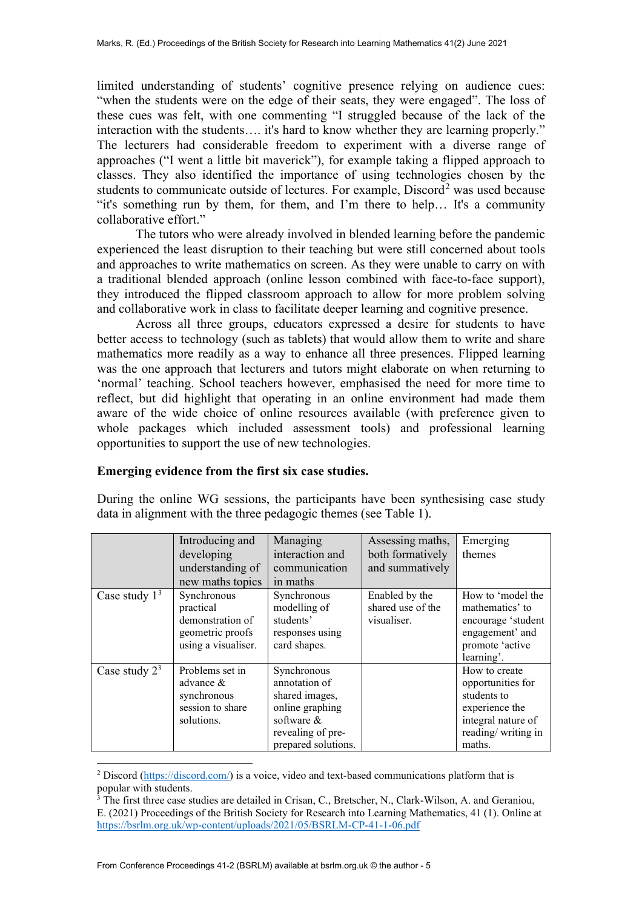limited understanding of students' cognitive presence relying on audience cues: "when the students were on the edge of their seats, they were engaged". The loss of these cues was felt, with one commenting "I struggled because of the lack of the interaction with the students…. it's hard to know whether they are learning properly." The lecturers had considerable freedom to experiment with a diverse range of approaches ("I went a little bit maverick"), for example taking a flipped approach to classes. They also identified the importance of using technologies chosen by the students to communicate outside of lectures. For example,  $Discord<sup>2</sup>$  $Discord<sup>2</sup>$  $Discord<sup>2</sup>$  was used because "it's something run by them, for them, and I'm there to help… It's a community collaborative effort."

The tutors who were already involved in blended learning before the pandemic experienced the least disruption to their teaching but were still concerned about tools and approaches to write mathematics on screen. As they were unable to carry on with a traditional blended approach (online lesson combined with face-to-face support), they introduced the flipped classroom approach to allow for more problem solving and collaborative work in class to facilitate deeper learning and cognitive presence.

Across all three groups, educators expressed a desire for students to have better access to technology (such as tablets) that would allow them to write and share mathematics more readily as a way to enhance all three presences. Flipped learning was the one approach that lecturers and tutors might elaborate on when returning to 'normal' teaching. School teachers however, emphasised the need for more time to reflect, but did highlight that operating in an online environment had made them aware of the wide choice of online resources available (with preference given to whole packages which included assessment tools) and professional learning opportunities to support the use of new technologies.

### **Emerging evidence from the first six case studies.**

During the online WG sessions, the participants have been synthesising case study data in alignment with the three pedagogic themes (see Table 1).

|                  | Introducing and<br>developing<br>understanding of<br>new maths topics                   | Managing<br>interaction and<br>communication<br>in maths                                                                    | Assessing maths,<br>both formatively<br>and summatively | Emerging<br>themes                                                                                                        |
|------------------|-----------------------------------------------------------------------------------------|-----------------------------------------------------------------------------------------------------------------------------|---------------------------------------------------------|---------------------------------------------------------------------------------------------------------------------------|
| Case study $13$  | Synchronous<br>practical<br>demonstration of<br>geometric proofs<br>using a visualiser. | Synchronous<br>modelling of<br>students'<br>responses using<br>card shapes.                                                 | Enabled by the<br>shared use of the<br>visualiser.      | How to 'model the<br>mathematics' to<br>encourage 'student<br>engagement' and<br>promote 'active<br>learning'.            |
| Case study $2^3$ | Problems set in<br>advance $&$<br>synchronous<br>session to share<br>solutions.         | Synchronous<br>annotation of<br>shared images,<br>online graphing<br>software &<br>revealing of pre-<br>prepared solutions. |                                                         | How to create<br>opportunities for<br>students to<br>experience the<br>integral nature of<br>reading/writing in<br>maths. |

<span id="page-4-0"></span><sup>2</sup> Discord [\(https://discord.com/\)](https://discord.com/) is a voice, video and text-based communications platform that is popular with students.

<span id="page-4-1"></span><sup>&</sup>lt;sup>3</sup> The first three case studies are detailed in Crisan, C., Bretscher, N., Clark-Wilson, A. and Geraniou, E. (2021) Proceedings of the British Society for Research into Learning Mathematics, 41 (1). Online at <https://bsrlm.org.uk/wp-content/uploads/2021/05/BSRLM-CP-41-1-06.pdf>